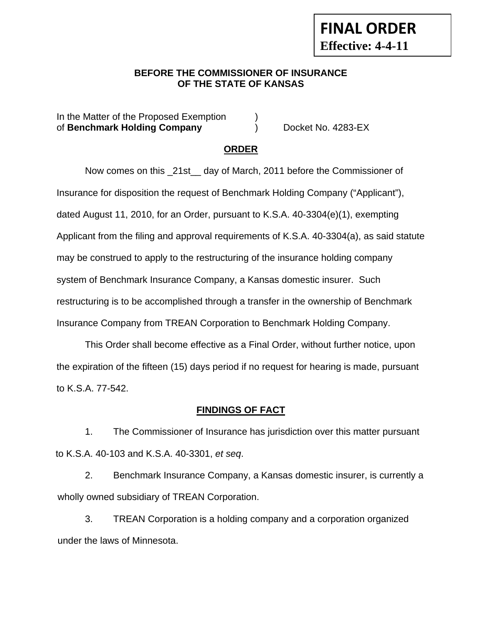### **BEFORE THE COMMISSIONER OF INSURANCE OF THE STATE OF KANSAS**

In the Matter of the Proposed Exemption (a) of **Benchmark Holding Company** ) Docket No. 4283-EX

**FINAL ORDER**

**Effective: 4-4-11** 

### **ORDER**

Now comes on this \_21st\_\_ day of March, 2011 before the Commissioner of Insurance for disposition the request of Benchmark Holding Company ("Applicant"), dated August 11, 2010, for an Order, pursuant to K.S.A. 40-3304(e)(1), exempting Applicant from the filing and approval requirements of K.S.A. 40-3304(a), as said statute may be construed to apply to the restructuring of the insurance holding company system of Benchmark Insurance Company, a Kansas domestic insurer. Such restructuring is to be accomplished through a transfer in the ownership of Benchmark Insurance Company from TREAN Corporation to Benchmark Holding Company.

This Order shall become effective as a Final Order, without further notice, upon the expiration of the fifteen (15) days period if no request for hearing is made, pursuant to K.S.A. 77-542.

### **FINDINGS OF FACT**

1. The Commissioner of Insurance has jurisdiction over this matter pursuant to K.S.A. 40-103 and K.S.A. 40-3301, *et seq*.

2. Benchmark Insurance Company, a Kansas domestic insurer, is currently a wholly owned subsidiary of TREAN Corporation.

3. TREAN Corporation is a holding company and a corporation organized under the laws of Minnesota.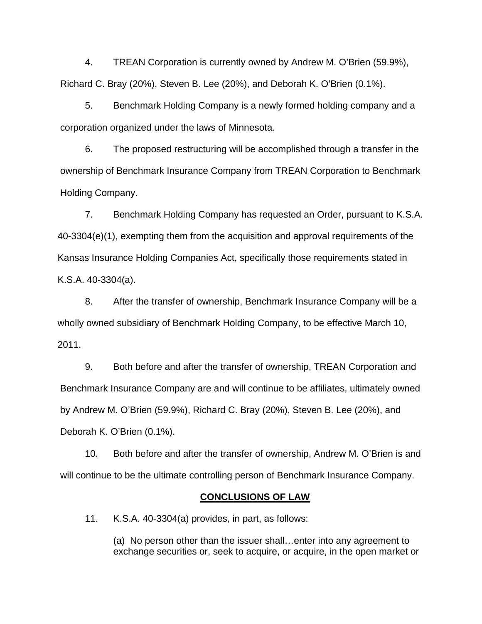4. TREAN Corporation is currently owned by Andrew M. O'Brien (59.9%), Richard C. Bray (20%), Steven B. Lee (20%), and Deborah K. O'Brien (0.1%).

5. Benchmark Holding Company is a newly formed holding company and a corporation organized under the laws of Minnesota.

6. The proposed restructuring will be accomplished through a transfer in the ownership of Benchmark Insurance Company from TREAN Corporation to Benchmark Holding Company.

7. Benchmark Holding Company has requested an Order, pursuant to K.S.A. 40-3304(e)(1), exempting them from the acquisition and approval requirements of the Kansas Insurance Holding Companies Act, specifically those requirements stated in K.S.A. 40-3304(a).

8. After the transfer of ownership, Benchmark Insurance Company will be a wholly owned subsidiary of Benchmark Holding Company, to be effective March 10, 2011.

9. Both before and after the transfer of ownership, TREAN Corporation and Benchmark Insurance Company are and will continue to be affiliates, ultimately owned by Andrew M. O'Brien (59.9%), Richard C. Bray (20%), Steven B. Lee (20%), and Deborah K. O'Brien (0.1%).

10. Both before and after the transfer of ownership, Andrew M. O'Brien is and will continue to be the ultimate controlling person of Benchmark Insurance Company.

#### **CONCLUSIONS OF LAW**

11. K.S.A. 40-3304(a) provides, in part, as follows:

(a) No person other than the issuer shall…enter into any agreement to exchange securities or, seek to acquire, or acquire, in the open market or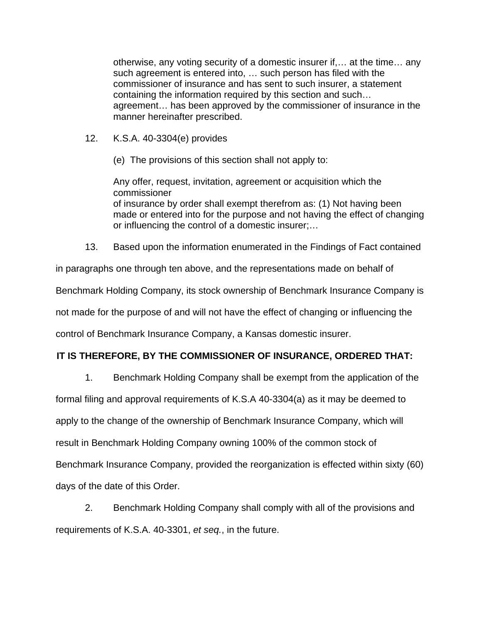otherwise, any voting security of a domestic insurer if,… at the time… any such agreement is entered into, … such person has filed with the commissioner of insurance and has sent to such insurer, a statement containing the information required by this section and such… agreement… has been approved by the commissioner of insurance in the manner hereinafter prescribed.

- 12. K.S.A. 40-3304(e) provides
	- (e) The provisions of this section shall not apply to:

Any offer, request, invitation, agreement or acquisition which the commissioner of insurance by order shall exempt therefrom as: (1) Not having been made or entered into for the purpose and not having the effect of changing or influencing the control of a domestic insurer;…

13. Based upon the information enumerated in the Findings of Fact contained

in paragraphs one through ten above, and the representations made on behalf of

Benchmark Holding Company, its stock ownership of Benchmark Insurance Company is

not made for the purpose of and will not have the effect of changing or influencing the

control of Benchmark Insurance Company, a Kansas domestic insurer.

## **IT IS THEREFORE, BY THE COMMISSIONER OF INSURANCE, ORDERED THAT:**

1. Benchmark Holding Company shall be exempt from the application of the

formal filing and approval requirements of K.S.A 40-3304(a) as it may be deemed to

apply to the change of the ownership of Benchmark Insurance Company, which will

result in Benchmark Holding Company owning 100% of the common stock of

Benchmark Insurance Company, provided the reorganization is effected within sixty (60)

days of the date of this Order.

2. Benchmark Holding Company shall comply with all of the provisions and requirements of K.S.A. 40-3301, *et seq.*, in the future.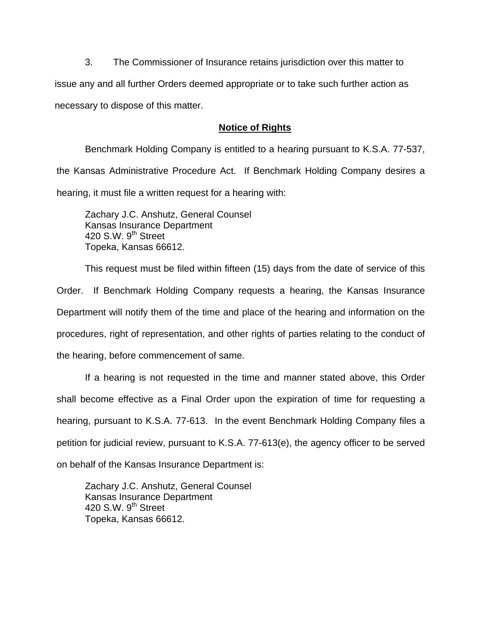3. The Commissioner of Insurance retains jurisdiction over this matter to issue any and all further Orders deemed appropriate or to take such further action as necessary to dispose of this matter.

### **Notice of Rights**

Benchmark Holding Company is entitled to a hearing pursuant to K.S.A. 77-537, the Kansas Administrative Procedure Act. If Benchmark Holding Company desires a hearing, it must file a written request for a hearing with:

Zachary J.C. Anshutz, General Counsel Kansas Insurance Department 420 S.W.  $9<sup>th</sup>$  Street Topeka, Kansas 66612.

This request must be filed within fifteen (15) days from the date of service of this Order. If Benchmark Holding Company requests a hearing, the Kansas Insurance Department will notify them of the time and place of the hearing and information on the procedures, right of representation, and other rights of parties relating to the conduct of the hearing, before commencement of same.

If a hearing is not requested in the time and manner stated above, this Order shall become effective as a Final Order upon the expiration of time for requesting a hearing, pursuant to K.S.A. 77-613. In the event Benchmark Holding Company files a petition for judicial review, pursuant to K.S.A. 77-613(e), the agency officer to be served on behalf of the Kansas Insurance Department is:

Zachary J.C. Anshutz, General Counsel Kansas Insurance Department 420 S.W. 9<sup>th</sup> Street Topeka, Kansas 66612.